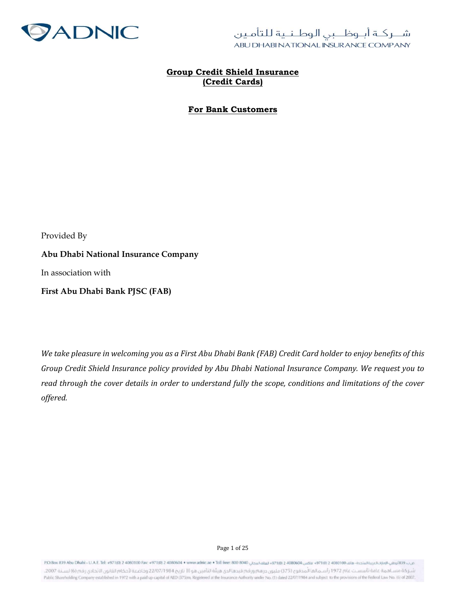

### Group Credit Shield Insurance (Credit Cards)

### For Bank Customers

Provided By

Abu Dhabi National Insurance Company

In association with

First Abu Dhabi Bank PJSC (FAB)

We take pleasure in welcoming you as a First Abu Dhabi Bank (FAB) Credit Card holder to enjoy benefits of this Group Credit Shield Insurance policy provided by Abu Dhabi National Insurance Company. We request you to read through the cover details in order to understand fully the scope, conditions and limitations of the cover offered.

Page 1 of 25

عن: 4394ه/1100هـ 497100 2000100هـ 497100 2000104 منظس 497100 20041 497100 20040 147110 200604 × منظم محتان 200604 147110 200604 منظم 497100 200404 147110 2000104 منظم 497100 200404 1471 شـر كة مسـاهمة عامة تأسسـت عام 1972 رأسـمالما المدفوع (375) مليون درهم ورقم قيدها لدى هيثة التأمين هو (١١ تاريخ 2207/1984 وخاضعة لأحكام القانون الاتحادى رقم (6) لسـنة 2007. Public Shareholding Company established in 1972 with a paid up capital of AED (375)m, Registered at the Insurance Authority under No. (1) dated 22/07/1984 and subject to the provisions of the Federal Law No. (6) of 2007.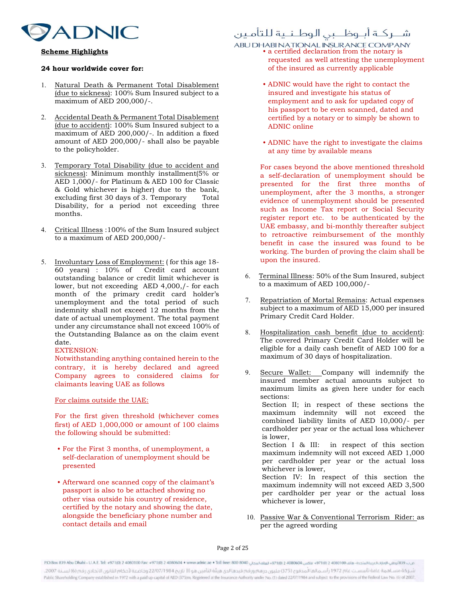

### Scheme Highlights

### 24 hour worldwide cover for:

- 1. Natural Death & Permanent Total Disablement (due to sickness): 100% Sum Insured subject to a maximum of AED 200,000/-.
- 2. Accidental Death & Permanent Total Disablement (due to accident): 100% Sum Insured subject to a maximum of AED 200,000/-. In addition a fixed amount of AED 200,000/- shall also be payable to the policyholder.
- 3. Temporary Total Disability (due to accident and sickness): Minimum monthly installment(5% or AED 1,000/- for Platinum & AED 100 for Classic & Gold whichever is higher) due to the bank, excluding first 30 days of 3. Temporary Total Disability, for a period not exceeding three months.
- 4. Critical Illness :100% of the Sum Insured subject to a maximum of AED 200,000/-
- 5. Involuntary Loss of Employment: ( for this age 18- 60 years) : 10% of Credit card account outstanding balance or credit limit whichever is lower, but not exceeding AED 4,000,/- for each month of the primary credit card holder's unemployment and the total period of such indemnity shall not exceed 12 months from the date of actual unemployment. The total payment under any circumstance shall not exceed 100% of the Outstanding Balance as on the claim event date.

### EXTENSION:

Notwithstanding anything contained herein to the contrary, it is hereby declared and agreed Company agrees to considered claims for claimants leaving UAE as follows

### For claims outside the UAE:

For the first given threshold (whichever comes first) of AED 1,000,000 or amount of 100 claims the following should be submitted:

- For the First 3 months, of unemployment, a self-declaration of unemployment should be presented
- Afterward one scanned copy of the claimant's passport is also to be attached showing no other visa outside his country of residence, certified by the notary and showing the date, alongside the beneficiary phone number and contact details and email

### شــركــة أبــوظـــبى الـوطـنــية للتأمـين

### ABU DHABI NATIONAL INSURANCE COMPANY<br>• a certified declaration from the notary is

- requested as well attesting the unemployment of the insured as currently applicable
	- ADNIC would have the right to contact the insured and investigate his status of employment and to ask for updated copy of his passport to be even scanned, dated and certified by a notary or to simply be shown to ADNIC online
	- ADNIC have the right to investigate the claims at any time by available means

For cases beyond the above mentioned threshold a self-declaration of unemployment should be presented for the first three months of unemployment, after the 3 months, a stronger evidence of unemployment should be presented such as Income Tax report or Social Security register report etc. to be authenticated by the UAE embassy, and bi-monthly thereafter subject to retroactive reimbursement of the monthly benefit in case the insured was found to be working. The burden of proving the claim shall be upon the insured.

- 6. Terminal Illness: 50% of the Sum Insured, subject to a maximum of AED 100,000/-
- 7. Repatriation of Mortal Remains: Actual expenses subject to a maximum of AED 15,000 per insured Primary Credit Card Holder.
- 8. Hospitalization cash benefit (due to accident): The covered Primary Credit Card Holder will be eligible for a daily cash benefit of AED 100 for a maximum of 30 days of hospitalization.
- 9. Secure Wallet: Company will indemnify the insured member actual amounts subject to maximum limits as given here under for each sections: Section II; in respect of these sections the maximum indemnity will not exceed the combined liability limits of AED 10,000/- per cardholder per year or the actual loss whichever is lower, Section I & III: in respect of this section maximum indemnity will not exceed AED 1,000 per cardholder per year or the actual loss whichever is lower, Section IV: In respect of this section the maximum indemnity will not exceed AED 3,500 per cardholder per year or the actual loss whichever is lower,
- 10. Passive War & Conventional Terrorism Rider: as per the agreed wording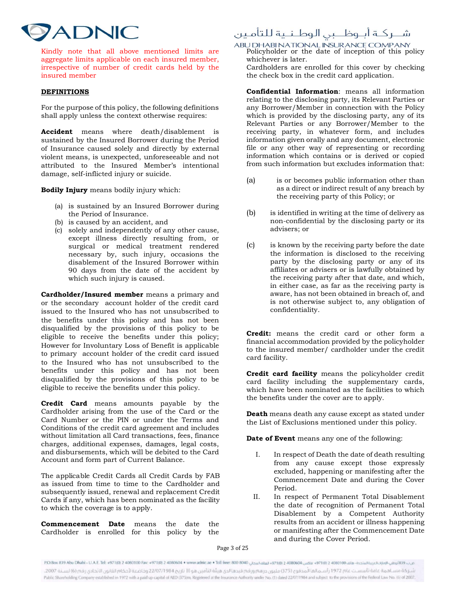# **ADNIC**

Kindly note that all above mentioned limits are aggregate limits applicable on each insured member, irrespective of number of credit cards held by the insured member

### DEFINITIONS

For the purpose of this policy, the following definitions shall apply unless the context otherwise requires:

Accident means where death/disablement is sustained by the Insured Borrower during the Period of Insurance caused solely and directly by external violent means, is unexpected, unforeseeable and not attributed to the Insured Member's intentional damage, self-inflicted injury or suicide.

Bodily Injury means bodily injury which:

- (a) is sustained by an Insured Borrower during the Period of Insurance.
- (b) is caused by an accident, and
- (c) solely and independently of any other cause, except illness directly resulting from, or surgical or medical treatment rendered necessary by, such injury, occasions the disablement of the Insured Borrower within 90 days from the date of the accident by which such injury is caused.

Cardholder/Insured member means a primary and or the secondary account holder of the credit card issued to the Insured who has not unsubscribed to the benefits under this policy and has not been disqualified by the provisions of this policy to be eligible to receive the benefits under this policy; However for Involuntary Loss of Benefit is applicable to primary account holder of the credit card issued to the Insured who has not unsubscribed to the benefits under this policy and has not been disqualified by the provisions of this policy to be eligible to receive the benefits under this policy.

Credit Card means amounts payable by the Cardholder arising from the use of the Card or the Card Number or the PIN or under the Terms and Conditions of the credit card agreement and includes without limitation all Card transactions, fees, finance charges, additional expenses, damages, legal costs, and disbursements, which will be debited to the Card Account and form part of Current Balance.

The applicable Credit Cards all Credit Cards by FAB as issued from time to time to the Cardholder and subsequently issued, renewal and replacement Credit Cards if any, which has been nominated as the facility to which the coverage is to apply.

Commencement Date means the date the Cardholder is enrolled for this policy by the

### شــركــة أبــوظـــبى الـوطـنــية للتأمـين

ABU DHABI NATIONAL INSURANCE COMPANY<br>Policyholder or the date of inception of this policy whichever is later.

Cardholders are enrolled for this cover by checking the check box in the credit card application.

Confidential Information: means all information relating to the disclosing party, its Relevant Parties or any Borrower/Member in connection with the Policy which is provided by the disclosing party, any of its Relevant Parties or any Borrower/Member to the receiving party, in whatever form, and includes information given orally and any document, electronic file or any other way of representing or recording information which contains or is derived or copied from such information but excludes information that:

- (a) is or becomes public information other than as a direct or indirect result of any breach by the receiving party of this Policy; or
- (b) is identified in writing at the time of delivery as non-confidential by the disclosing party or its advisers; or
- (c) is known by the receiving party before the date the information is disclosed to the receiving party by the disclosing party or any of its affiliates or advisers or is lawfully obtained by the receiving party after that date, and which, in either case, as far as the receiving party is aware, has not been obtained in breach of, and is not otherwise subject to, any obligation of confidentiality.

Credit: means the credit card or other form a financial accommodation provided by the policyholder to the insured member/ cardholder under the credit card facility.

Credit card facility means the policyholder credit card facility including the supplementary cards, which have been nominated as the facilities to which the benefits under the cover are to apply.

Death means death any cause except as stated under the List of Exclusions mentioned under this policy.

Date of Event means any one of the following:

- I. In respect of Death the date of death resulting from any cause except those expressly excluded, happening or manifesting after the Commencement Date and during the Cover Period.
- II. In respect of Permanent Total Disablement the date of recognition of Permanent Total Disablement by a Competent Authority results from an accident or illness happening or manifesting after the Commencement Date and during the Cover Period.

Page 3 of 25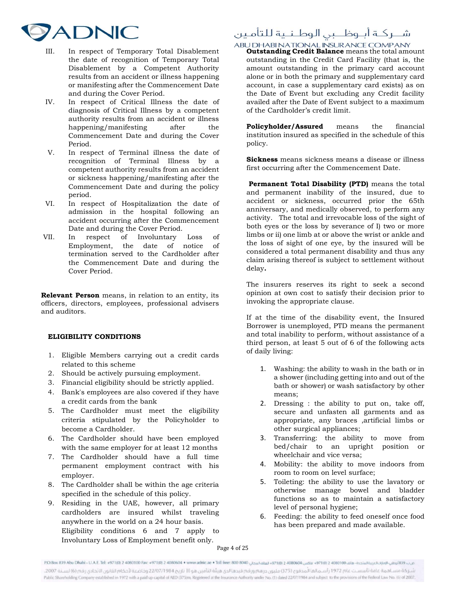

- III. In respect of Temporary Total Disablement the date of recognition of Temporary Total Disablement by a Competent Authority results from an accident or illness happening or manifesting after the Commencement Date and during the Cover Period.
- IV. In respect of Critical Illness the date of diagnosis of Critical Illness by a competent authority results from an accident or illness happening/manifesting after the Commencement Date and during the Cover Period.
- V. In respect of Terminal illness the date of recognition of Terminal Illness by a competent authority results from an accident or sickness happening/manifesting after the Commencement Date and during the policy period.
- VI. In respect of Hospitalization the date of admission in the hospital following an accident occurring after the Commencement
- Date and during the Cover Period.<br>In respect of Involuntary Loss VII. In respect of Involuntary Loss of Employment, the date of notice of termination served to the Cardholder after the Commencement Date and during the Cover Period.

Relevant Person means, in relation to an entity, its officers, directors, employees, professional advisers and auditors.

### ELIGIBILITY CONDITIONS

- 1. Eligible Members carrying out a credit cards related to this scheme
- 2. Should be actively pursuing employment.
- 3. Financial eligibility should be strictly applied.
- 4. Bank's employees are also covered if they have a credit cards from the bank
- 5. The Cardholder must meet the eligibility criteria stipulated by the Policyholder to become a Cardholder.
- 6. The Cardholder should have been employed with the same employer for at least 12 months
- 7. The Cardholder should have a full time permanent employment contract with his employer.
- 8. The Cardholder shall be within the age criteria specified in the schedule of this policy.
- 9. Residing in the UAE, however, all primary cardholders are insured whilst traveling anywhere in the world on a 24 hour basis. Eligibility conditions 6 and 7 apply to Involuntary Loss of Employment benefit only.

## شــركــة أبــوظـــبى الـوطـنــية للتأمـين

ABU DHABI NATIONAL INSURANCE COMPANY<br>**Outstanding Credit Balance** means the total amount outstanding in the Credit Card Facility (that is, the amount outstanding in the primary card account alone or in both the primary and supplementary card account, in case a supplementary card exists) as on the Date of Event but excluding any Credit facility availed after the Date of Event subject to a maximum of the Cardholder's credit limit.

Policyholder/Assured means the financial institution insured as specified in the schedule of this policy.

Sickness means sickness means a disease or illness first occurring after the Commencement Date.

 Permanent Total Disability (PTD) means the total and permanent inability of the insured, due to accident or sickness, occurred prior the 65th anniversary, and medically observed, to perform any activity. The total and irrevocable loss of the sight of both eyes or the loss by severance of I) two or more limbs or ii) one limb at or above the wrist or ankle and the loss of sight of one eye, by the insured will be considered a total permanent disability and thus any claim arising thereof is subject to settlement without delay.

The insurers reserves its right to seek a second opinion at own cost to satisfy their decision prior to invoking the appropriate clause.

If at the time of the disability event, the Insured Borrower is unemployed, PTD means the permanent and total inability to perform, without assistance of a third person, at least 5 out of 6 of the following acts of daily living:

- 1. Washing: the ability to wash in the bath or in a shower (including getting into and out of the bath or shower) or wash satisfactory by other means;
- 2. Dressing : the ability to put on, take off, secure and unfasten all garments and as appropriate, any braces ,artificial limbs or other surgical appliances;
- 3. Transferring: the ability to move from bed/chair to an upright position or wheelchair and vice versa;
- 4. Mobility: the ability to move indoors from room to room on level surface;
- 5. Toileting: the ability to use the lavatory or otherwise manage bowel and bladder functions so as to maintain a satisfactory level of personal hygiene;
- 6. Feeding: the ability to feed oneself once food has been prepared and made available.

Page 4 of 25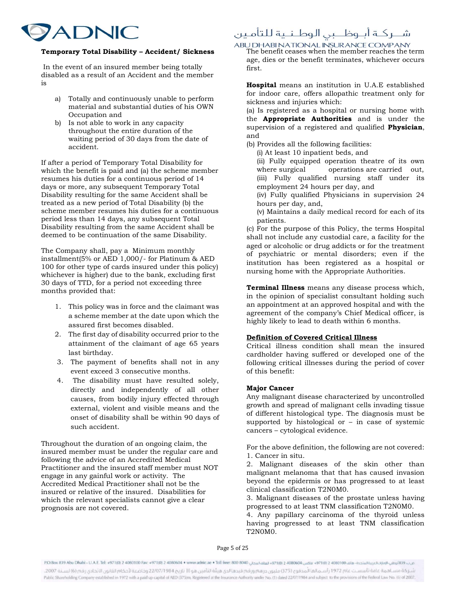

### Temporary Total Disability – Accident/ Sickness

 In the event of an insured member being totally disabled as a result of an Accident and the member is

- a) Totally and continuously unable to perform material and substantial duties of his OWN Occupation and
- b) Is not able to work in any capacity throughout the entire duration of the waiting period of 30 days from the date of accident.

If after a period of Temporary Total Disability for which the benefit is paid and (a) the scheme member resumes his duties for a continuous period of 14 days or more, any subsequent Temporary Total Disability resulting for the same Accident shall be treated as a new period of Total Disability (b) the scheme member resumes his duties for a continuous period less than 14 days, any subsequent Total Disability resulting from the same Accident shall be deemed to be continuation of the same Disability.

The Company shall, pay a Minimum monthly installment(5% or AED 1,000/- for Platinum & AED 100 for other type of cards insured under this policy) whichever is higher) due to the bank, excluding first 30 days of TTD, for a period not exceeding three months provided that:

- 1. This policy was in force and the claimant was a scheme member at the date upon which the assured first becomes disabled.
- 2. The first day of disability occurred prior to the attainment of the claimant of age 65 years last birthday.
- 3. The payment of benefits shall not in any event exceed 3 consecutive months.
- 4. The disability must have resulted solely, directly and independently of all other causes, from bodily injury effected through external, violent and visible means and the onset of disability shall be within 90 days of such accident.

Throughout the duration of an ongoing claim, the insured member must be under the regular care and following the advice of an Accredited Medical Practitioner and the insured staff member must NOT engage in any gainful work or activity. The Accredited Medical Practitioner shall not be the insured or relative of the insured. Disabilities for which the relevant specialists cannot give a clear prognosis are not covered.

### شــركــة أبــوظـــبى الـوطـنــية للتأمـين

# ABU DHABI NATIONAL INSURANCE COMPANY<br>The benefit ceases when the member reaches the term

age, dies or the benefit terminates, whichever occurs first.

Hospital means an institution in U.A.E established for indoor care, offers allopathic treatment only for sickness and injuries which:

(a) Is registered as a hospital or nursing home with the **Appropriate Authorities** and is under the supervision of a registered and qualified **Physician**, and

(b) Provides all the following facilities:

(i) At least 10 inpatient beds, and

 (ii) Fully equipped operation theatre of its own where surgical operations are carried out, (iii) Fully qualified nursing staff under its employment 24 hours per day, and

 (iv) Fully qualified Physicians in supervision 24 hours per day, and,

 (v) Maintains a daily medical record for each of its patients.

(c) For the purpose of this Policy, the terms Hospital shall not include any custodial care, a facility for the aged or alcoholic or drug addicts or for the treatment of psychiatric or mental disorders; even if the institution has been registered as a hospital or nursing home with the Appropriate Authorities.

Terminal Illness means any disease process which, in the opinion of specialist consultant holding such an appointment at an approved hospital and with the agreement of the company's Chief Medical officer, is highly likely to lead to death within 6 months.

### Definition of Covered Critical Illness

Critical illness condition shall mean the insured cardholder having suffered or developed one of the following critical illnesses during the period of cover of this benefit:

### Major Cancer

Any malignant disease characterized by uncontrolled growth and spread of malignant cells invading tissue of different histological type. The diagnosis must be supported by histological or  $-$  in case of systemic cancers – cytological evidence.

For the above definition, the following are not covered: 1. Cancer in situ.

2. Malignant diseases of the skin other than malignant melanoma that that has caused invasion beyond the epidermis or has progressed to at least clinical classification T2N0M0.

3. Malignant diseases of the prostate unless having progressed to at least TNM classification T2N0M0.

4. Any papillary carcinoma of the thyroid unless having progressed to at least TNM classification T2N0M0.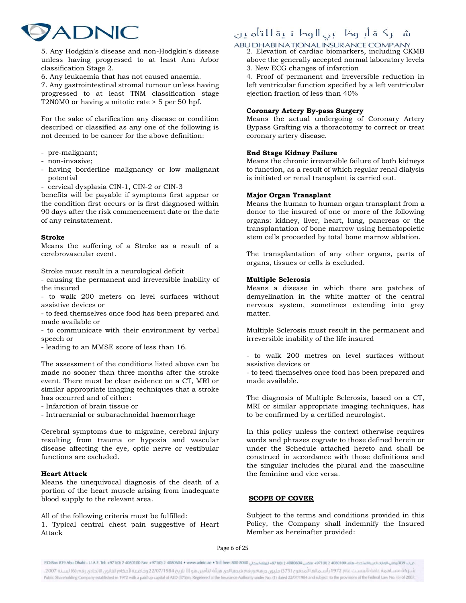

5. Any Hodgkin's disease and non-Hodgkin's disease unless having progressed to at least Ann Arbor classification Stage 2.

6. Any leukaemia that has not caused anaemia.

7. Any gastrointestinal stromal tumour unless having progressed to at least TNM classification stage T2N0M0 or having a mitotic rate > 5 per 50 hpf.

For the sake of clarification any disease or condition described or classified as any one of the following is not deemed to be cancer for the above definition:

- pre-malignant;
- non-invasive;
- having borderline malignancy or low malignant potential
- cervical dysplasia CIN-1, CIN-2 or CIN-3

benefits will be payable if symptoms first appear or the condition first occurs or is first diagnosed within 90 days after the risk commencement date or the date of any reinstatement.

### Stroke

Means the suffering of a Stroke as a result of a cerebrovascular event.

Stroke must result in a neurological deficit

- causing the permanent and irreversible inability of the insured

- to walk 200 meters on level surfaces without assistive devices or

- to feed themselves once food has been prepared and made available or

- to communicate with their environment by verbal speech or

- leading to an MMSE score of less than 16.

The assessment of the conditions listed above can be made no sooner than three months after the stroke event. There must be clear evidence on a CT, MRI or similar appropriate imaging techniques that a stroke has occurred and of either:

- Infarction of brain tissue or
- Intracranial or subarachnoidal haemorrhage

Cerebral symptoms due to migraine, cerebral injury resulting from trauma or hypoxia and vascular disease affecting the eye, optic nerve or vestibular functions are excluded.

### Heart Attack

Means the unequivocal diagnosis of the death of a portion of the heart muscle arising from inadequate blood supply to the relevant area.

All of the following criteria must be fulfilled: 1. Typical central chest pain suggestive of Heart Attack

### شــركــة أبــوظـــبى الـوطـنــية للتأمـين

# ABU DHABI NATIONAL INSURANCE COMPANY<br>2. Elevation of cardiac biomarkers, including CKMB

above the generally accepted normal laboratory levels 3. New ECG changes of infarction

4. Proof of permanent and irreversible reduction in left ventricular function specified by a left ventricular ejection fraction of less than 40%

### Coronary Artery By-pass Surgery

Means the actual undergoing of Coronary Artery Bypass Grafting via a thoracotomy to correct or treat coronary artery disease.

### End Stage Kidney Failure

Means the chronic irreversible failure of both kidneys to function, as a result of which regular renal dialysis is initiated or renal transplant is carried out.

### Major Organ Transplant

Means the human to human organ transplant from a donor to the insured of one or more of the following organs: kidney, liver, heart, lung, pancreas or the transplantation of bone marrow using hematopoietic stem cells proceeded by total bone marrow ablation.

The transplantation of any other organs, parts of organs, tissues or cells is excluded.

### Multiple Sclerosis

Means a disease in which there are patches of demyelination in the white matter of the central nervous system, sometimes extending into grey matter.

Multiple Sclerosis must result in the permanent and irreversible inability of the life insured

- to walk 200 metres on level surfaces without assistive devices or

- to feed themselves once food has been prepared and made available.

The diagnosis of Multiple Sclerosis, based on a CT, MRI or similar appropriate imaging techniques, has to be confirmed by a certified neurologist.

In this policy unless the context otherwise requires words and phrases cognate to those defined herein or under the Schedule attached hereto and shall be construed in accordance with those definitions and the singular includes the plural and the masculine the feminine and vice versa.

### SCOPE OF COVER

Subject to the terms and conditions provided in this Policy, the Company shall indemnify the Insured Member as hereinafter provided: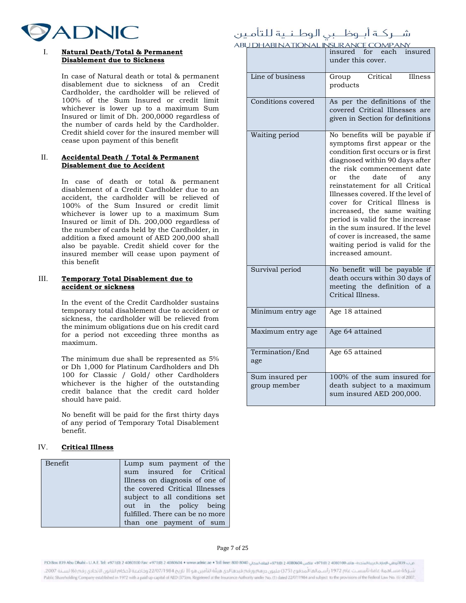

#### I. Natural Death/Total & Permanent Disablement due to Sickness

In case of Natural death or total & permanent disablement due to sickness of an Credit Cardholder, the cardholder will be relieved of 100% of the Sum Insured or credit limit whichever is lower up to a maximum Sum Insured or limit of Dh. 200,0000 regardless of the number of cards held by the Cardholder. Credit shield cover for the insured member will cease upon payment of this benefit

### II. Accidental Death / Total & Permanent Disablement due to Accident

In case of death or total & permanent disablement of a Credit Cardholder due to an accident, the cardholder will be relieved of 100% of the Sum Insured or credit limit whichever is lower up to a maximum Sum Insured or limit of Dh. 200,000 regardless of the number of cards held by the Cardholder, in addition a fixed amount of AED 200,000 shall also be payable. Credit shield cover for the insured member will cease upon payment of this benefit

### III. Temporary Total Disablement due to accident or sickness

In the event of the Credit Cardholder sustains temporary total disablement due to accident or sickness, the cardholder will be relieved from the minimum obligations due on his credit card for a period not exceeding three months as maximum.

The minimum due shall be represented as 5% or Dh 1,000 for Platinum Cardholders and Dh 100 for Classic / Gold/ other Cardholders whichever is the higher of the outstanding credit balance that the credit card holder should have paid.

No benefit will be paid for the first thirty days of any period of Temporary Total Disablement benefit.

### IV. Critical Illness

| Benefit | Lump sum payment of the         |
|---------|---------------------------------|
|         | sum insured for Critical        |
|         | Illness on diagnosis of one of  |
|         | the covered Critical Illnesses  |
|         | subject to all conditions set   |
|         | out in the policy being         |
|         | fulfilled. There can be no more |
|         | than one payment of sum         |

### شـــركــة أبــوظـــبى الوطــنــية للتأمـين

|                                 | ABU DHABI NATIONAL INSURANCE COMPANY                                                                                                                                                                                                                                                                                                                                                                                                                                                                              |  |
|---------------------------------|-------------------------------------------------------------------------------------------------------------------------------------------------------------------------------------------------------------------------------------------------------------------------------------------------------------------------------------------------------------------------------------------------------------------------------------------------------------------------------------------------------------------|--|
|                                 | for<br>insured<br>insured<br>each<br>under this cover.                                                                                                                                                                                                                                                                                                                                                                                                                                                            |  |
| Line of business                | Critical<br>Illness<br>Group<br>products                                                                                                                                                                                                                                                                                                                                                                                                                                                                          |  |
| Conditions covered              | As per the definitions of the<br>covered Critical Illnesses are<br>given in Section for definitions                                                                                                                                                                                                                                                                                                                                                                                                               |  |
| Waiting period                  | No benefits will be payable if<br>symptoms first appear or the<br>condition first occurs or is first<br>diagnosed within 90 days after<br>the risk commencement date<br>the<br>date<br>οf<br>or<br>any<br>reinstatement for all Critical<br>Illnesses covered. If the level of<br>cover for Critical Illness is<br>increased, the same waiting<br>period is valid for the increase<br>in the sum insured. If the level<br>of cover is increased, the same<br>waiting period is valid for the<br>increased amount. |  |
| Survival period                 | No benefit will be payable if<br>death occurs within 30 days of<br>meeting the definition of a<br>Critical Illness.                                                                                                                                                                                                                                                                                                                                                                                               |  |
| Minimum entry age               | Age 18 attained                                                                                                                                                                                                                                                                                                                                                                                                                                                                                                   |  |
| Maximum entry age               | Age 64 attained                                                                                                                                                                                                                                                                                                                                                                                                                                                                                                   |  |
| Termination/End<br>age          | Age 65 attained                                                                                                                                                                                                                                                                                                                                                                                                                                                                                                   |  |
| Sum insured per<br>group member | 100% of the sum insured for<br>death subject to a maximum<br>sum insured AED 200,000.                                                                                                                                                                                                                                                                                                                                                                                                                             |  |

Page 7 of 25

ص ب483 أوضل الوغاية شدة =27100 2408004 297100 24080604 200804 200804 200804 200804 200804 200804 200804 200804 كاكس كو 200804 200804 كاكس كو 200804 200804 200804 200804 200804 200804 200804 200804 200804 200804 200804 200 شـر كة مسـاهمة عامة تأسسـت عام 1972 رأسـمالما المدفوع (375) مليون درهم ورقم قيدها لدى هيثة التأمين هو (١١ تاريخ 2207/1984 وخاضعة لأحكام القانون الاتحادى رقم (6) لسـنة 2007. Public Shareholding Company established in 1972 with a paid up capital of AED (375)m, Registered at the Insurance Authority under No. (1) dated 22/07/1984 and subject to the provisions of the Federal Law No. (6) of 2007.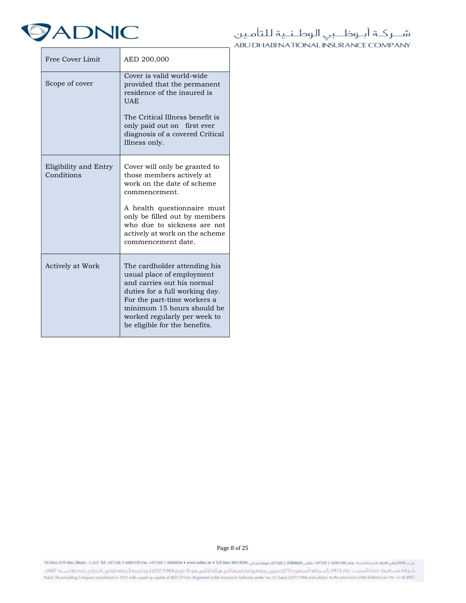

| Free Cover Limit                    | AED 200,000                                                                                                                                                                                                                                                      |  |
|-------------------------------------|------------------------------------------------------------------------------------------------------------------------------------------------------------------------------------------------------------------------------------------------------------------|--|
| Scope of cover                      | Cover is valid world-wide<br>provided that the permanent<br>residence of the insured is<br><b>UAE</b><br>The Critical Illness benefit is<br>only paid out on first ever<br>diagnosis of a covered Critical<br>Illness only.                                      |  |
| Eligibility and Entry<br>Conditions | Cover will only be granted to<br>those members actively at<br>work on the date of scheme<br>commencement.<br>A health questionnaire must<br>only be filled out by members<br>who due to sickness are not<br>actively at work on the scheme<br>commencement date. |  |
| Actively at Work                    | The cardholder attending his<br>usual place of employment<br>and carries out his normal<br>duties for a full working day.<br>For the part-time workers a<br>minimum 15 hours should be<br>worked regularly per week to<br>be eligible for the benefits.          |  |

Page 8 of 25

ص:24/54/69/100 24080100 24080100 24080100 24080100 المقادمات و26/100 2408060 1 24/60 24/60 24080604 1 25/60 24/60 24/68/64 1 25/60 24/68/64 1 25/60 24/68/64 1 24/60 24/68/64 1 25/60 24/68/64 1 25/60 24/60 24/68/64 1 25/60

شـر كة مسـاهمة عامة تأسسـت عام 1972 رأسـمالما المدفوع (375) مليون درهم ورقم قيدها لدى هيثة التأمين هو [1] تاريخ 2207/1984 وخاضعة لأحكام القانون الاتحادي رقم (6) لسـنة 2007. Public Shareholding Company established in 1972 with a paid up capital of AED (375)m, Registered at the Insurance Authority under No. (1) dated 22/07/1984 and subject to the provisions of the Federal Law No. (6) of 2007.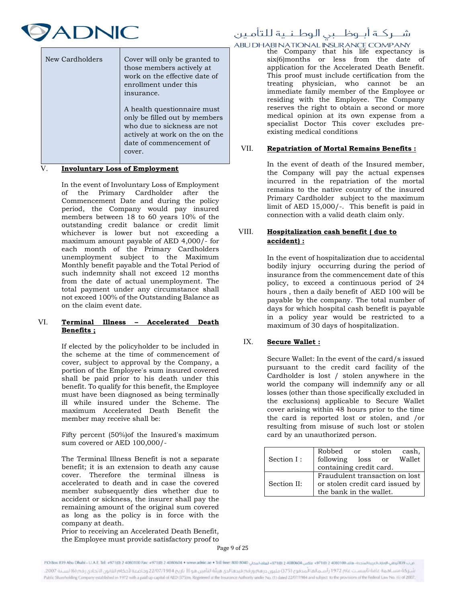

| New Cardholders | Cover will only be granted to<br>those members actively at<br>work on the effective date of<br>enrollment under this<br>insurance.                                 |
|-----------------|--------------------------------------------------------------------------------------------------------------------------------------------------------------------|
|                 | A health questionnaire must<br>only be filled out by members<br>who due to sickness are not<br>actively at work on the on the<br>date of commencement of<br>cover. |

### V. Involuntary Loss of Employment

In the event of Involuntary Loss of Employment of the Primary Cardholder after the Commencement Date and during the policy period, the Company would pay insured members between 18 to 60 years 10% of the outstanding credit balance or credit limit whichever is lower but not exceeding a maximum amount payable of AED 4,000/- for each month of the Primary Cardholders unemployment subject to the Maximum Monthly benefit payable and the Total Period of such indemnity shall not exceed 12 months from the date of actual unemployment. The total payment under any circumstance shall not exceed 100% of the Outstanding Balance as on the claim event date.

### VI. Terminal Illness – Accelerated Death Benefits ;

If elected by the policyholder to be included in the scheme at the time of commencement of cover, subject to approval by the Company, a portion of the Employee's sum insured covered shall be paid prior to his death under this benefit. To qualify for this benefit, the Employee must have been diagnosed as being terminally ill while insured under the Scheme. The maximum Accelerated Death Benefit the member may receive shall be:

Fifty percent (50%)of the Insured's maximum sum covered or AED 100,000/-

The Terminal Illness Benefit is not a separate benefit; it is an extension to death any cause cover. Therefore the terminal illness is accelerated to death and in case the covered member subsequently dies whether due to accident or sickness, the insurer shall pay the remaining amount of the original sum covered as long as the policy is in force with the company at death.

Prior to receiving an Accelerated Death Benefit, the Employee must provide satisfactory proof to

### شــركــة أبــوظـــبى الـوطـنــية للتأمـين

# ABU DHABI NATIONAL INSURANCE COMPANY<br>the Company that his life expectancy is

six(6)months or less from the date of application for the Accelerated Death Benefit. This proof must include certification from the treating physician, who cannot be an immediate family member of the Employee or residing with the Employee. The Company reserves the right to obtain a second or more medical opinion at its own expense from a specialist Doctor This cover excludes preexisting medical conditions

### VII. Repatriation of Mortal Remains Benefits :

In the event of death of the Insured member, the Company will pay the actual expenses incurred in the repatriation of the mortal remains to the native country of the insured Primary Cardholder subject to the maximum limit of AED 15,000/-. This benefit is paid in connection with a valid death claim only.

### VIII. Hospitalization cash benefit ( due to accident) :

In the event of hospitalization due to accidental bodily injury occurring during the period of insurance from the commencement date of this policy, to exceed a continuous period of 24 hours , then a daily benefit of AED 100 will be payable by the company. The total number of days for which hospital cash benefit is payable in a policy year would be restricted to a maximum of 30 days of hospitalization.

### IX. Secure Wallet :

Secure Wallet: In the event of the card/s issued pursuant to the credit card facility of the Cardholder is lost / stolen anywhere in the world the company will indemnify any or all losses (other than those specifically excluded in the exclusions) applicable to Secure Wallet cover arising within 48 hours prior to the time the card is reported lost or stolen, and /or resulting from misuse of such lost or stolen card by an unauthorized person.

|                                | Robbed or stolen                |  |  | cash, |
|--------------------------------|---------------------------------|--|--|-------|
| Section I:                     | following loss or Wallet        |  |  |       |
|                                | containing credit card.         |  |  |       |
| Fraudulent transaction on lost |                                 |  |  |       |
| Section II:                    | or stolen credit card issued by |  |  |       |
|                                | the bank in the wallet.         |  |  |       |

Page 9 of 25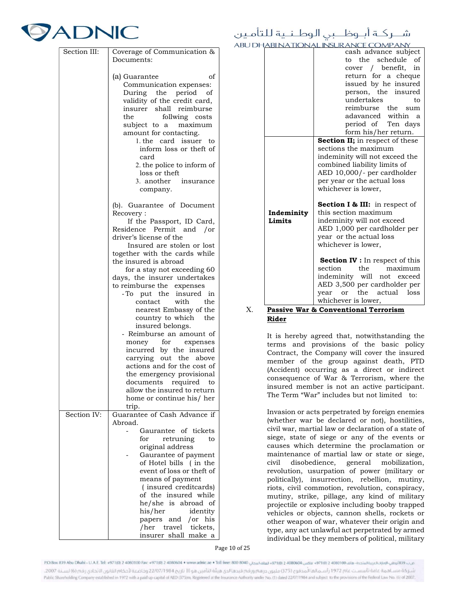# **7ADNIC**

| Section III: | Coverage of Communication &<br>Documents:                                                                                                                                                                                                                                                                                                                                                                                                                                                                                                                                                                                                                                                                                 |
|--------------|---------------------------------------------------------------------------------------------------------------------------------------------------------------------------------------------------------------------------------------------------------------------------------------------------------------------------------------------------------------------------------------------------------------------------------------------------------------------------------------------------------------------------------------------------------------------------------------------------------------------------------------------------------------------------------------------------------------------------|
|              | (a) Guarantee<br>οf<br>Communication expenses:<br>During the period<br>of<br>validity of the credit card,<br>insurer shall reimburse<br>follwing costs<br>the<br>subject to a<br>maximum<br>amount for contacting.<br>1. the card issuer to<br>inform loss or theft of<br>card<br>2. the police to inform of<br>loss or theft<br>3. another insurance<br>company.                                                                                                                                                                                                                                                                                                                                                         |
|              | (b). Guarantee of Document<br>Recovery:<br>If the Passport, ID Card,<br>Residence Permit<br>and /or<br>driver's license of the<br>Insured are stolen or lost<br>together with the cards while<br>the insured is abroad<br>for a stay not exceeding 60<br>days, the insurer undertakes<br>to reimburse the expenses<br>-To put the insured<br>in<br>with<br>contact<br>the<br>nearest Embassy of the<br>country to which<br>the<br>insured belongs.<br>- Reimburse an amount of<br>money for<br>expenses<br>incurred by the insured<br>carrying out the above<br>actions and for the cost of<br>the emergency provisional<br>documents required<br>to<br>allow the insured to return<br>home or continue his/ her<br>trip. |
| Section IV:  | Guarantee of Cash Advance if<br>Abroad.<br>Gaurantee of tickets<br>for<br>retruning<br>to<br>original address<br>Gaurantee of payment<br>of Hotel bills (in the<br>event of loss or theft of<br>means of payment<br>(insured creditcards)<br>of the insured while<br>he/she is abroad of<br>his/her<br>identity<br>papers<br>/or his<br>and<br>tickets,<br>/her<br>travel<br>insurer shall make a                                                                                                                                                                                                                                                                                                                         |

### شــركــة أبــوظـــبي الـوطــنــية للتأمـين **ABU L**

|                      | DHABI NA TIONAL INSURANCE COMPANY.             |  |  |  |
|----------------------|------------------------------------------------|--|--|--|
|                      | cash advance subject                           |  |  |  |
|                      | the schedule of<br>to.                         |  |  |  |
|                      | cover / benefit,<br>in                         |  |  |  |
|                      | return for a cheque                            |  |  |  |
|                      | issued by he insured                           |  |  |  |
|                      | person, the insured                            |  |  |  |
|                      | undertakes<br>to                               |  |  |  |
|                      | reimburse the sum                              |  |  |  |
|                      | adavanced within<br><sub>a</sub>               |  |  |  |
|                      | period of Ten days                             |  |  |  |
|                      | form his/her return.                           |  |  |  |
|                      | <b>Section II;</b> in respect of these         |  |  |  |
|                      | sections the maximum                           |  |  |  |
|                      | indeminity will not exceed the                 |  |  |  |
|                      | combined liability limits of                   |  |  |  |
|                      | AED 10,000/- per cardholder                    |  |  |  |
|                      | per year or the actual loss                    |  |  |  |
|                      | whichever is lower,                            |  |  |  |
|                      |                                                |  |  |  |
|                      | <b>Section I &amp; III:</b> in respect of      |  |  |  |
| Indeminity<br>Limits | this section maximum                           |  |  |  |
|                      | indeminity will not exceed                     |  |  |  |
|                      | AED 1,000 per cardholder per                   |  |  |  |
|                      | year or the actual loss<br>whichever is lower, |  |  |  |
|                      |                                                |  |  |  |
|                      | <b>Section IV</b> : In respect of this         |  |  |  |
|                      | section<br>the<br>maximum                      |  |  |  |
|                      | indeminity will not exceed                     |  |  |  |
|                      | AED 3,500 per cardholder per                   |  |  |  |
|                      | the<br>actual<br>loss<br>vear<br><sub>or</sub> |  |  |  |
|                      | whichever is lower,                            |  |  |  |
| .<br>TT.             | $2.$ Commonstand Towns<br>                     |  |  |  |

### X. Passive War & Conventional Terrorism Rider

It is hereby agreed that, notwithstanding the terms and provisions of the basic policy Contract, the Company will cover the insured member of the group against death, PTD (Accident) occurring as a direct or indirect consequence of War & Terrorism, where the insured member is not an active participant. The Term "War" includes but not limited to:

Invasion or acts perpetrated by foreign enemies (whether war be declared or not), hostilities, civil war, martial law or declaration of a state of siege, state of siege or any of the events or causes which determine the proclamation or maintenance of martial law or state or siege, civil disobedience, general mobilization, revolution, usurpation of power (military or politically), insurrection, rebellion, mutiny, riots, civil commotion, revolution, conspiracy, mutiny, strike, pillage, any kind of military projectile or explosive including booby trapped vehicles or objects, cannon shells, rockets or other weapon of war, whatever their origin and type, any act unlawful act perpetrated by armed individual be they members of political, military

Page 10 of 25

شركة مساهمة عامة تأسست عام 1972 رأسـمالما المدفوع (375) مليون در مم ورقم قيدها لدى هيئة التأمين هو (II) تاريخ 2207/1984 كوخاضعة لأحكام القانون الاتحادى رقم (6) لسنة 2007. Public Shareholding Company established in 1972 with a paid up capital of AED (375)m, Registered at the Insurance Authority under No. (1) dated 22/07/1984 and subject to the provisions of the Federal Law No. (6) of 2007.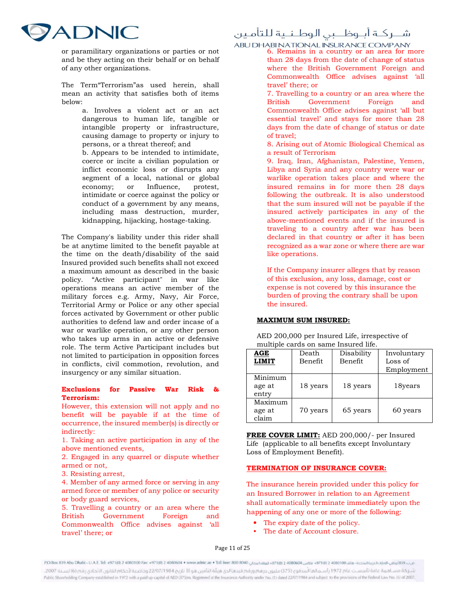

or paramilitary organizations or parties or not and be they acting on their behalf or on behalf of any other organizations.

The Term"Terrorism"as used herein, shall mean an activity that satisfies both of items below:

> a. Involves a violent act or an act dangerous to human life, tangible or intangible property or infrastructure, causing damage to property or injury to persons, or a threat thereof; and

b. Appears to be intended to intimidate, coerce or incite a civilian population or inflict economic loss or disrupts any segment of a local, national or global economy; or Influence, protest, intimidate or coerce against the policy or conduct of a government by any means, including mass destruction, murder, kidnapping, hijacking, hostage-taking.

The Company's liability under this rider shall be at anytime limited to the benefit payable at the time on the death/disability of the said Insured provided such benefits shall not exceed a maximum amount as described in the basic policy. "Active participant" in war like operations means an active member of the military forces e.g. Army, Navy, Air Force, Territorial Army or Police or any other special forces activated by Government or other public authorities to defend law and order incase of a war or warlike operation, or any other person who takes up arms in an active or defensive role. The term Active Participant includes but not limited to participation in opposition forces in conflicts, civil commotion, revolution, and insurgency or any similar situation.

### Exclusions for Passive War Risk Terrorism:

However, this extension will not apply and no benefit will be payable if at the time of occurrence, the insured member(s) is directly or indirectly:

1. Taking an active participation in any of the above mentioned events,

2. Engaged in any quarrel or dispute whether armed or not,

3. Resisting arrest,

4. Member of any armed force or serving in any armed force or member of any police or security or body guard services,

5. Travelling a country or an area where the British Government Foreign and Commonwealth Office advises against 'all travel' there; or

### شــركــة أبــوظـــبى الـوطـنــية للتأمـين

ABU DHABI NATIONAL INSURANCE COMPANY<br>6. Remains in a country or an area for more

than 28 days from the date of change of status where the British Government Foreign and Commonwealth Office advises against 'all travel' there; or

7. Travelling to a country or an area where the British Government Foreign and Commonwealth Office advises against 'all but essential travel' and stays for more than 28 days from the date of change of status or date of travel;

8. Arising out of Atomic Biological Chemical as a result of Terrorism

9. Iraq, Iran, Afghanistan, Palestine, Yemen, Libya and Syria and any country were war or warlike operation takes place and where the insured remains in for more then 28 days following the outbreak. It is also understood that the sum insured will not be payable if the insured actively participates in any of the above-mentioned events and if the insured is traveling to a country after war has been declared in that country or after it has been recognized as a war zone or where there are war like operations.

If the Company insurer alleges that by reason of this exclusion, any loss, damage, cost or expense is not covered by this insurance the burden of proving the contrary shall be upon the insured.

### MAXIMUM SUM INSURED:

AED 200,000 per Insured Life, irrespective of multiple cards on same Insured life.

| AGE<br><b>LIMIT</b>        | Death<br>Benefit | Disability<br>Benefit | Involuntary<br>Loss of<br>Employment |
|----------------------------|------------------|-----------------------|--------------------------------------|
| Minimum<br>age at<br>entry | 18 years         | 18 years              | 18years                              |
| Maximum<br>age at<br>claim | 70 years         | 65 years              | 60 years                             |

FREE COVER LIMIT: AED 200,000/- per Insured Life (applicable to all benefits except Involuntary Loss of Employment Benefit).

### TERMINATION OF INSURANCE COVER:

The insurance herein provided under this policy for an Insured Borrower in relation to an Agreement shall automatically terminate immediately upon the happening of any one or more of the following:

- The expiry date of the policy.
- The date of Account closure.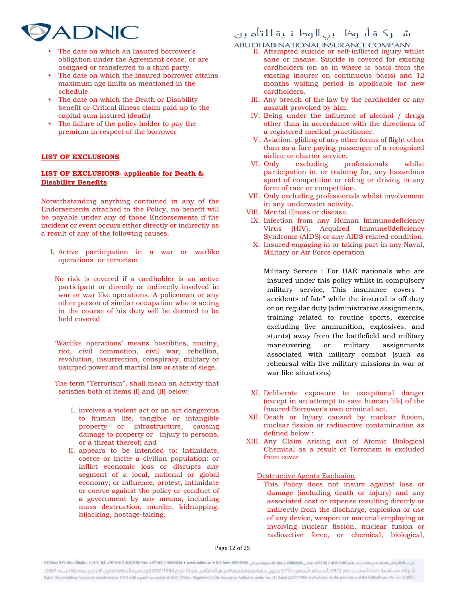# **ADNIC**

- The date on which an Insured borrower's obligation under the Agreement cease, or are assigned or transferred to a third party.
- The date on which the Insured borrower attains maximum age limits as mentioned in the schedule.
- The date on which the Death or Disability benefit or Critical illness claim paid up to the capital sum insured (death)
- The failure of the policy holder to pay the premium in respect of the borrower

### LIST OF EXCLUSIONS

### LIST OF EXCLUSIONS- applicable for Death & Disability Benefits

Notwithstanding anything contained in any of the Endorsements attached to the Policy, no benefit will be payable under any of those Endorsements if the incident or event occurs either directly or indirectly as a result of any of the following causes.

- I. Active participation in a war or warlike operations or terrorism
	- No risk is covered if a cardholder is an active participant or directly or indirectly involved in war or war like operations. A policeman or any other person of similar occupation who is acting in the course of his duty will be deemed to be held covered
	- 'Warlike operations' means hostilities, mutiny, riot, civil commotion, civil war, rebellion, revolution, insurrection, conspiracy, military or usurped power and martial law or state of siege..
- The term "Terrorism", shall mean an activity that satisfies both of items (I) and (II) below:
	- I. involves a violent act or an act dangerous to human life, tangible or intangible property or infrastructure, causing damage to property or injury to persons, or a threat thereof; and
	- II. appears to be intended to: Intimidate, coerce or incite a civilian population: or inflict economic loss or disrupts any segment of a local, national or global economy; or influence, protest, intimidate or coerce against the policy or conduct of a government by any means, including mass destruction, murder, kidnapping, hijacking, hostage-taking.

### شــركــة أبــوظـــبى الـوطـنــية للتأمـين

ABU DHABI NATIONAL INSURANCE COMPANY<br>II. Attempted suicide or self-inflicted injury whilst

- sane or insane. Suicide is covered for existing cardholders (on as in where is basis from the existing insurer on continuous basis) and 12 months waiting period is applicable for new cardholders.
- III. Any breach of the law by the cardholder or any assault provoked by him.
- IV. Being under the influence of alcohol / drugs other than in accordance with the directions of a registered medical practitioner.
- V. Aviation, gliding of any other forms of flight other than as a fare paying passenger of a recognized airline or charter service.
- VI. Only excluding professionals whilst participation in, or training for, any hazardous sport of competition or riding or driving in any form of race or competition.
- VII. Only excluding professionals whilst involvement in any underwater activity.
- VIII. Mental illness or disease.
- IX. Infection from any Human Immunodeficiency Virus (HIV), Acquired Immune0deficiency Syndrome (AIDS) or any AIDS related condition.
- X. Insured engaging in or taking part in any Naval, Military or Air Force operation

Military Service : For UAE nationals who are insured under this policy whilst in compulsory military service, This insurance covers " accidents of fate" while the insured is off duty or on regular duty (administrative assignments, training related to routine sports, exercise excluding live ammunition, explosives, and stunts) away from the battlefield and military maneuvering or military assignments associated with military combat (such as rehearsal with live military missions in war or war like situations)

- XI. Deliberate exposure to exceptional danger (except in an attempt to save human life) of the Insured Borrower's own criminal act.
- XII. Death or Injury caused by nuclear fusion, nuclear fission or radioactive contamination as defined below :
- XIII. Any Claim arising out of Atomic Biological Chemical as a result of Terrorism is excluded from cover

Destructive Agents Exclusion

This Policy does not insure against loss or damage (including death or injury) and any associated cost or expense resulting directly or indirectly from the discharge, explosion or use of any device, weapon or material employing or involving nuclear fission, nuclear fusion or radioactive force, or chemical, biological,

Page 12 of 25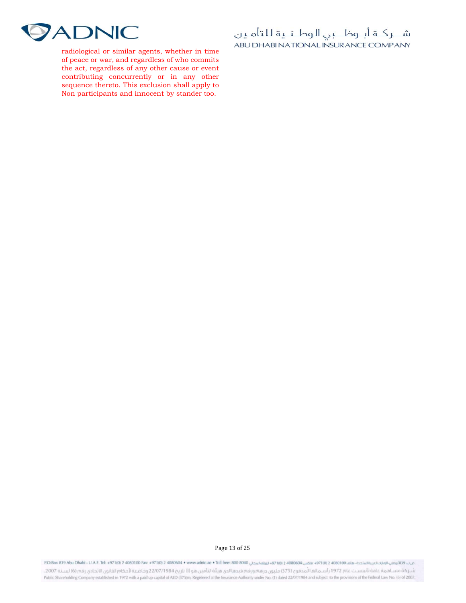

radiological or similar agents, whether in time of peace or war, and regardless of who commits the act, regardless of any other cause or event contributing concurrently or in any other sequence thereto. This exclusion shall apply to Non participants and innocent by stander too.

شــركـة أبــوظــبي الـوطـنــية للتأمـين ABU DHABI NATIONAL INSURANCE COMPANY

Page 13 of 25

من ب:481940/1001-2008 439 400100 2008 497100 2008 497100 2008 497100 2008 497100 2008 497100 2008 497100 2008 497100 2008 497100 2008 497100 2008 497100 2008 400 497100 2008 400 497100 2008 400 400 400 400 400 400 400 400

شـر كة مسـاهمة عامة تأسسـت عام 1972 رأسـمالها المدفوع (375) مليون درهم ورقم قيدها لدى هيثة التأمين هو [1] تاريخ 2207/1984 وخاضعة لأحكام القانون الاتحادى رقم (6) لسـنة 2007، Public Shareholding Company established in 1972 with a paid up capital of AED (375)m, Registered at the Insurance Authority under No. (1) dated 22/07/1984 and subject to the provisions of the Federal Law No. (6) of 2007.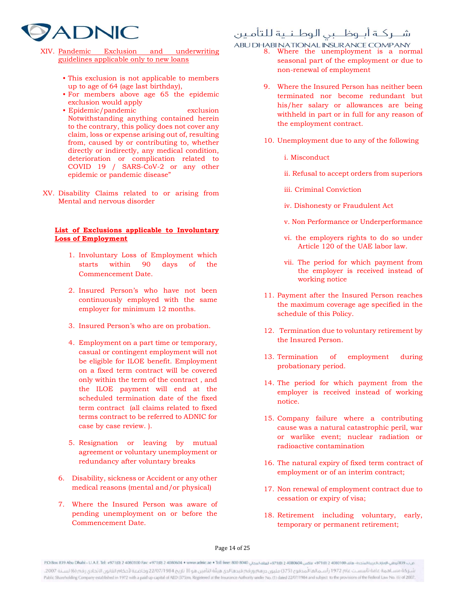

- XIV. Pandemic Exclusion and underwriting guidelines applicable only to new loans
	- This exclusion is not applicable to members up to age of 64 (age last birthday),
	- For members above age 65 the epidemic exclusion would apply
	- Epidemic/pandemic exclusion Notwithstanding anything contained herein to the contrary, this policy does not cover any claim, loss or expense arising out of, resulting from, caused by or contributing to, whether directly or indirectly, any medical condition, deterioration or complication related to COVID 19 / SARS-CoV-2 or any other epidemic or pandemic disease"
- XV. Disability Claims related to or arising from Mental and nervous disorder

### List of Exclusions applicable to Involuntary Loss of Employment

- 1. Involuntary Loss of Employment which starts within 90 days of the Commencement Date.
- 2. Insured Person's who have not been continuously employed with the same employer for minimum 12 months.
- 3. Insured Person's who are on probation.
- 4. Employment on a part time or temporary, casual or contingent employment will not be eligible for ILOE benefit. Employment on a fixed term contract will be covered only within the term of the contract , and the ILOE payment will end at the scheduled termination date of the fixed term contract (all claims related to fixed terms contract to be referred to ADNIC for case by case review. ).
- 5. Resignation or leaving by mutual agreement or voluntary unemployment or redundancy after voluntary breaks
- 6. Disability, sickness or Accident or any other medical reasons (mental and/or physical)
- 7. Where the Insured Person was aware of pending unemployment on or before the Commencement Date.

### شــركــة أبــوظـــبي الـوطــنــية للتأمـين

ABU DHABI NATIONAL INSURANCE COMPANY<br>8. Where the unemployment is a normal

- seasonal part of the employment or due to non-renewal of employment
	- 9. Where the Insured Person has neither been terminated nor become redundant but his/her salary or allowances are being withheld in part or in full for any reason of the employment contract.
	- 10. Unemployment due to any of the following
		- i. Misconduct
		- ii. Refusal to accept orders from superiors
		- iii. Criminal Conviction
		- iv. Dishonesty or Fraudulent Act
		- v. Non Performance or Underperformance
		- vi. the employers rights to do so under Article 120 of the UAE labor law.
		- vii. The period for which payment from the employer is received instead of working notice
	- 11. Payment after the Insured Person reaches the maximum coverage age specified in the schedule of this Policy.
	- 12. Termination due to voluntary retirement by the Insured Person.
	- 13. Termination of employment during probationary period.
	- 14. The period for which payment from the employer is received instead of working notice.
	- 15. Company failure where a contributing cause was a natural catastrophic peril, war or warlike event; nuclear radiation or radioactive contamination
	- 16. The natural expiry of fixed term contract of employment or of an interim contract;
	- 17. Non renewal of employment contract due to cessation or expiry of visa;
	- 18. Retirement including voluntary, early, temporary or permanent retirement;

### Page 14 of 25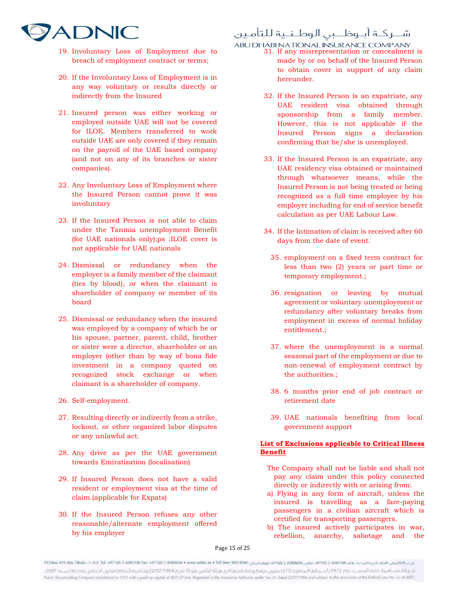

- 19. Involuntary Loss of Employment due to breach of employment contract or terms;
- 20. If the Involuntary Loss of Employment is in any way voluntary or results directly or indirectly from the Insured
- 21. Insured person was either working or employed outside UAE will not be covered for ILOE. Members transferred to work outside UAE are only covered if they remain on the payroll of the UAE based company (and not on any of its branches or sister companies).
- 22. Any Involuntary Loss of Employment where the Insured Person cannot prove it was involuntary
- 23. If the Insured Person is not able to claim under the Tanmia unemployment Benefit (for UAE nationals only);ps :ILOE cover is not applicable for UAE nationals
- 24. Dismissal or redundancy when the employer is a family member of the claimant (ties by blood), or when the claimant is shareholder of company or member of its board
- 25. Dismissal or redundancy when the insured was employed by a company of which he or his spouse, partner, parent, child, brother or sister were a director, shareholder or an employer (other than by way of bona fide investment in a company quoted on recognized stock exchange or when claimant is a shareholder of company.
- 26. Self-employment.
- 27. Resulting directly or indirectly from a strike, lockout, or other organized labor disputes or any unlawful act.
- 28. Any drive as per the UAE government towards Emiratization (localisation)
- 29. If Insured Person does not have a valid resident or employment visa at the time of claim.(applicable for Expats)
- 30. If the Insured Person refuses any other reasonable/alternate employment offered by his employer

### شــركــة أبــوظـــبي الـوطــنــية للتأمـين

ABU DHABI NATIONAL INSURANCE COMPANY<br>31. If any misrepresentation or concealment is

- made by or on behalf of the Insured Person to obtain cover in support of any claim hereunder.
	- 32. If the Insured Person is an expatriate, any UAE resident visa obtained through sponsorship from a family member. However, this is not applicable if the Insured Person signs a declaration confirming that he/she is unemployed.
	- 33. If the Insured Person is an expatriate, any UAE residency visa obtained or maintained through whatsoever means, while the Insured Person is not being treated or being recognized as a full time employee by his employer including for end of service benefit calculation as per UAE Labour Law.
	- 34. If the Intimation of claim is received after 60 days from the date of event.
		- 35. employment on a fixed term contract for less than two (2) years or part time or temporary employment.;
		- 36. resignation or leaving by mutual agreement or voluntary unemployment or redundancy after voluntary breaks from employment in excess of normal holiday entitlement.;
		- 37. where the unemployment is a normal seasonal part of the employment or due to non-renewal of employment contract by the authorities.;
		- 38. 6 months prior end of job contract or retirement date
		- 39. UAE nationals benefiting from local government support

### List of Exclusions applicable to Critical Illness Benefit

- The Company shall not be liable and shall not pay any claim under this policy connected directly or indirectly with or arising from:
- a) Flying in any form of aircraft, unless the insured is travelling as a fare-paying passengers in a civilian aircraft which is certified for transporting passengers.
- b) The insured actively participates in war, rebellion, anarchy, sabotage and the

Page 15 of 25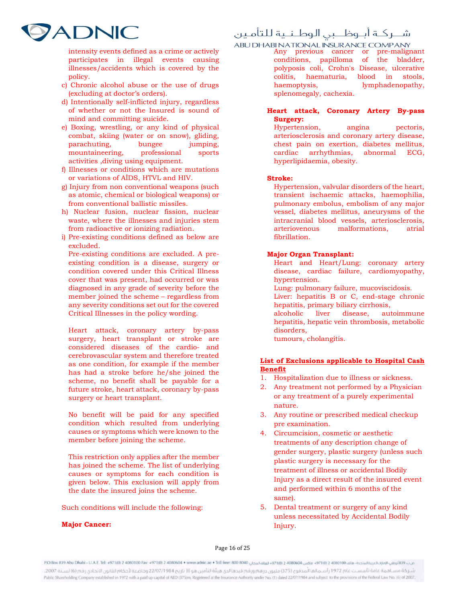

intensity events defined as a crime or actively participates in illegal events causing illnesses/accidents which is covered by the policy.

- c) Chronic alcohol abuse or the use of drugs (excluding at doctor's orders).
- d) Intentionally self-inflicted injury, regardless of whether or not the Insured is sound of mind and committing suicide.
- e) Boxing, wrestling, or any kind of physical combat, skiing (water or on snow), gliding, parachuting, bungee jumping, mountaineering, professional sports activities ,diving using equipment.
- f) Illnesses or conditions which are mutations or variations of AİDS, HTVL and HIV.
- g) Injury from non conventional weapons (such as atomic, chemical or biological weapons) or from conventional ballistic missiles.
- h) Nuclear fusion, nuclear fission, nuclear waste, where the illnesses and injuries stem from radioactive or ionizing radiation.
- i) Pre-existing conditions defined as below are excluded.

Pre-existing conditions are excluded. A preexisting condition is a disease, surgery or condition covered under this Critical Illness cover that was present, had occurred or was diagnosed in any grade of severity before the member joined the scheme – regardless from any severity conditions set out for the covered Critical Illnesses in the policy wording.

Heart attack, coronary artery by-pass surgery, heart transplant or stroke are considered diseases of the cardio- and cerebrovascular system and therefore treated as one condition, for example if the member has had a stroke before he/she joined the scheme, no benefit shall be payable for a future stroke, heart attack, coronary by-pass surgery or heart transplant.

No benefit will be paid for any specified condition which resulted from underlying causes or symptoms which were known to the member before joining the scheme.

This restriction only applies after the member has joined the scheme. The list of underlying causes or symptoms for each condition is given below. This exclusion will apply from the date the insured joins the scheme.

Such conditions will include the following:

#### Major Cancer:

### شــركــة أبــوظـــبى الـوطـنــية للتأمـين

Any previous cancer or pre-malignant conditions, papilloma of the bladder, polyposis coli, Crohn's Disease, ulcerative colitis, haematuria, blood in stools, haemoptysis, lymphadenopathy, splenomegaly, cachexia.

### Heart attack, Coronary Artery By-pass Surgery:

Hypertension, angina pectoris, arteriosclerosis and coronary artery disease, chest pain on exertion, diabetes mellitus, cardiac arrhythmias, abnormal ECG, hyperlipidaemia, obesity.

#### Stroke:

Hypertension, valvular disorders of the heart, transient ischaemic attacks, haemophilia, pulmonary embolus, embolism of any major vessel, diabetes mellitus, aneurysms of the intracranial blood vessels, arteriosclerosis, arteriovenous malformations, atrial fibrillation.

### Major Organ Transplant:

- Heart and Heart/Lung: coronary artery disease, cardiac failure, cardiomyopathy, hypertension.
- Lung: pulmonary failure, mucoviscidosis.
- Liver: hepatitis B or C, end-stage chronic hepatitis, primary biliary cirrhosis,
- alcoholic liver disease, autoimmune hepatitis, hepatic vein thrombosis, metabolic disorders,
- tumours, cholangitis.

### List of Exclusions applicable to Hospital Cash Benefit

- 1. Hospitalization due to illness or sickness.
- 2. Any treatment not performed by a Physician or any treatment of a purely experimental nature.
- 3. Any routine or prescribed medical checkup pre examination.
- 4. Circumcision, cosmetic or aesthetic treatments of any description change of gender surgery, plastic surgery (unless such plastic surgery is necessary for the treatment of illness or accidental Bodily Injury as a direct result of the insured event and performed within 6 months of the same).
- 5. Dental treatment or surgery of any kind unless necessitated by Accidental Bodily Injury.

Page 16 of 25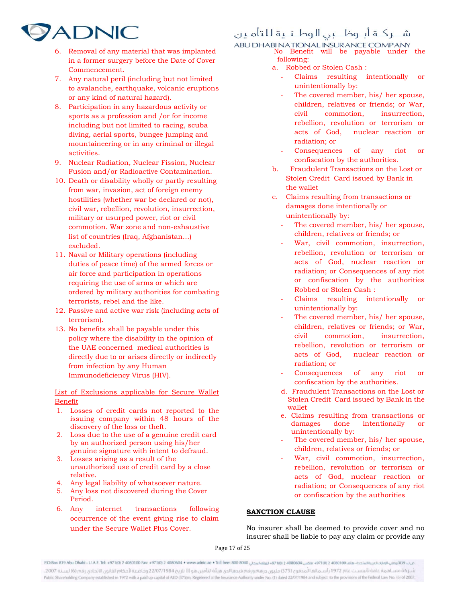### شــركــة أبــوظـــبى الـوطـنــية للتأمـين



- 6. Removal of any material that was implanted in a former surgery before the Date of Cover Commencement.
- 7. Any natural peril (including but not limited to avalanche, earthquake, volcanic eruptions or any kind of natural hazard).
- 8. Participation in any hazardous activity or sports as a profession and /or for income including but not limited to racing, scuba diving, aerial sports, bungee jumping and mountaineering or in any criminal or illegal activities.
- 9. Nuclear Radiation, Nuclear Fission, Nuclear Fusion and/or Radioactive Contamination.
- 10. Death or disability wholly or partly resulting from war, invasion, act of foreign enemy hostilities (whether war be declared or not), civil war, rebellion, revolution, insurrection, military or usurped power, riot or civil commotion. War zone and non-exhaustive list of countries (Iraq, Afghanistan…) excluded.
- 11. Naval or Military operations (including duties of peace time) of the armed forces or air force and participation in operations requiring the use of arms or which are ordered by military authorities for combating terrorists, rebel and the like.
- 12. Passive and active war risk (including acts of terrorism).
- 13. No benefits shall be payable under this policy where the disability in the opinion of the UAE concerned medical authorities is directly due to or arises directly or indirectly from infection by any Human Immunodeficiency Virus (HIV).

List of Exclusions applicable for Secure Wallet Benefit

- 1. Losses of credit cards not reported to the issuing company within 48 hours of the discovery of the loss or theft.
- 2. Loss due to the use of a genuine credit card by an authorized person using his/her genuine signature with intent to defraud.
- 3. Losses arising as a result of the unauthorized use of credit card by a close relative.
- 4. Any legal liability of whatsoever nature.
- 5. Any loss not discovered during the Cover Period.
- 6. Any internet transactions following occurrence of the event giving rise to claim under the Secure Wallet Plus Cover.

ABU DHABI NATIONAL INSURANCE COMPANY<br>No Benefit will be payable under the following:

- a. Robbed or Stolen Cash :
	- Claims resulting intentionally or unintentionally by:
	- The covered member, his/ her spouse, children, relatives or friends; or War, civil commotion, insurrection, rebellion, revolution or terrorism or acts of God, nuclear reaction or radiation; or
	- Consequences of any riot or confiscation by the authorities.
- b. Fraudulent Transactions on the Lost or Stolen Credit Card issued by Bank in the wallet
- c. Claims resulting from transactions or damages done intentionally or unintentionally by:
	- The covered member, his/ her spouse, children, relatives or friends; or
	- War, civil commotion, insurrection, rebellion, revolution or terrorism or acts of God, nuclear reaction or radiation; or Consequences of any riot or confiscation by the authorities Robbed or Stolen Cash :
		- Claims resulting intentionally or unintentionally by:
	- The covered member, his/ her spouse, children, relatives or friends; or War, civil commotion, insurrection, rebellion, revolution or terrorism or acts of God, nuclear reaction or radiation; or
	- Consequences of any riot or confiscation by the authorities.
	- d. Fraudulent Transactions on the Lost or Stolen Credit Card issued by Bank in the wallet
	- e. Claims resulting from transactions or damages done intentionally or unintentionally by:
	- The covered member, his/ her spouse, children, relatives or friends; or
	- War, civil commotion, insurrection, rebellion, revolution or terrorism or acts of God, nuclear reaction or radiation; or Consequences of any riot or confiscation by the authorities

### SANCTION CLAUSE

No insurer shall be deemed to provide cover and no insurer shall be liable to pay any claim or provide any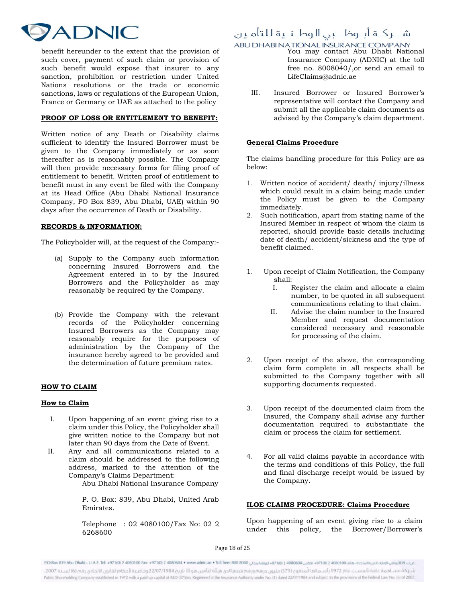

benefit hereunder to the extent that the provision of such cover, payment of such claim or provision of such benefit would expose that insurer to any sanction, prohibition or restriction under United Nations resolutions or the trade or economic sanctions, laws or regulations of the European Union, France or Germany or UAE as attached to the policy

### PROOF OF LOSS OR ENTITLEMENT TO BENEFIT:

Written notice of any Death or Disability claims sufficient to identify the Insured Borrower must be given to the Company immediately or as soon thereafter as is reasonably possible. The Company will then provide necessary forms for filing proof of entitlement to benefit. Written proof of entitlement to benefit must in any event be filed with the Company at its Head Office (Abu Dhabi National Insurance Company, PO Box 839, Abu Dhabi, UAE) within 90 days after the occurrence of Death or Disability.

### RECORDS & INFORMATION:

The Policyholder will, at the request of the Company:-

- (a) Supply to the Company such information concerning Insured Borrowers and the Agreement entered in to by the Insured Borrowers and the Policyholder as may reasonably be required by the Company.
- (b) Provide the Company with the relevant records of the Policyholder concerning Insured Borrowers as the Company may reasonably require for the purposes of administration by the Company of the insurance hereby agreed to be provided and the determination of future premium rates.

### HOW TO CLAIM

#### How to Claim

- I. Upon happening of an event giving rise to a claim under this Policy, the Policyholder shall give written notice to the Company but not later than 90 days from the Date of Event.
- II. Any and all communications related to a claim should be addressed to the following address, marked to the attention of the Company's Claims Department:

Abu Dhabi National Insurance Company

P. O. Box: 839, Abu Dhabi, United Arab Emirates.

Telephone : 02 4080100/Fax No: 02 2 6268600

### شــركــة أبــوظـــبى الـوطـنــية للتأمـين

# ABU DHABI NATIONAL INSURANCE COMPANY<br>You may contact Abu Dhabi National

- Insurance Company (ADNIC) at the toll free no. 8008040/,or send an email to LifeClaims@adnic.ae
- III. Insured Borrower or Insured Borrower's representative will contact the Company and submit all the applicable claim documents as advised by the Company's claim department.

### General Claims Procedure

The claims handling procedure for this Policy are as below:

- 1. Written notice of accident/ death/ injury/illness which could result in a claim being made under the Policy must be given to the Company immediately.
- 2. Such notification, apart from stating name of the Insured Member in respect of whom the claim is reported, should provide basic details including date of death/ accident/sickness and the type of benefit claimed.
- 1. Upon receipt of Claim Notification, the Company shall:
	- I. Register the claim and allocate a claim number, to be quoted in all subsequent communications relating to that claim.
	- II. Advise the claim number to the Insured Member and request documentation considered necessary and reasonable for processing of the claim.
- 2. Upon receipt of the above, the corresponding claim form complete in all respects shall be submitted to the Company together with all supporting documents requested.
- 3. Upon receipt of the documented claim from the Insured, the Company shall advise any further documentation required to substantiate the claim or process the claim for settlement.
- 4. For all valid claims payable in accordance with the terms and conditions of this Policy, the full and final discharge receipt would be issued by the Company.

### ILOE CLAIMS PROCEDURE: Claims Procedure

Upon happening of an event giving rise to a claim under this policy, the Borrower/Borrower's

Page 18 of 25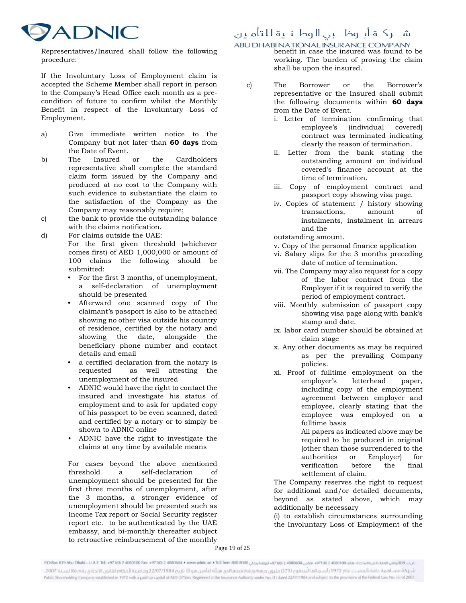

شــركــة أبــوظـــبي الـوطــنــية للتأمـين

shall be upon the insured.

Representatives/Insured shall follow the following procedure:

If the Involuntary Loss of Employment claim is accepted the Scheme Member shall report in person to the Company's Head Office each month as a precondition of future to confirm whilst the Monthly Benefit in respect of the Involuntary Loss of Employment.

- a) Give immediate written notice to the Company but not later than 60 days from the Date of Event.
- b) The Insured or the Cardholders representative shall complete the standard claim form issued by the Company and produced at no cost to the Company with such evidence to substantiate the claim to the satisfaction of the Company as the Company may reasonably require;
- c) the bank to provide the outstanding balance with the claims notification.
- d) For claims outside the UAE: For the first given threshold (whichever comes first) of AED 1,000,000 or amount of 100 claims the following should be submitted:
	- For the first 3 months, of unemployment, a self-declaration of unemployment should be presented
	- Afterward one scanned copy of the claimant's passport is also to be attached showing no other visa outside his country of residence, certified by the notary and showing the date, alongside the beneficiary phone number and contact details and email
	- a certified declaration from the notary is requested as well attesting the unemployment of the insured
	- ADNIC would have the right to contact the insured and investigate his status of employment and to ask for updated copy of his passport to be even scanned, dated and certified by a notary or to simply be shown to ADNIC online
	- ADNIC have the right to investigate the claims at any time by available means

For cases beyond the above mentioned threshold a self-declaration of unemployment should be presented for the first three months of unemployment, after the 3 months, a stronger evidence of unemployment should be presented such as Income Tax report or Social Security register report etc. to be authenticated by the UAE embassy, and bi-monthly thereafter subject to retroactive reimbursement of the monthly

ABU DHABI NATIONAL INSURANCE COMPANY<br>benefit in case the insured was found to be working. The burden of proving the claim

- c) The Borrower or the Borrower's representative or the Insured shall submit the following documents within 60 days from the Date of Event.
	- i. Letter of termination confirming that employee's (individual covered) contract was terminated indicating clearly the reason of termination.
	- ii. Letter from the bank stating the outstanding amount on individual covered's finance account at the time of termination.
	- iii. Copy of employment contract and passport copy showing visa page.
	- iv. Copies of statement / history showing transactions, amount of instalments, instalment in arrears and the
	- outstanding amount.
	- v. Copy of the personal finance application
	- vi. Salary slips for the 3 months preceding date of notice of termination.
	- vii. The Company may also request for a copy of the labor contract from the Employer if it is required to verify the period of employment contract.
	- viii. Monthly submission of passport copy showing visa page along with bank's stamp and date.
	- ix. labor card number should be obtained at claim stage
	- x. Any other documents as may be required as per the prevailing Company policies.
	- xi. Proof of fulltime employment on the employer's letterhead paper, including copy of the employment agreement between employer and employee, clearly stating that the employee was employed on a fulltime basis

All papers as indicated above may be required to be produced in original (other than those surrendered to the authorities or Employer) for verification before the final settlement of claim.

The Company reserves the right to request for additional and/or detailed documents, beyond as stated above, which may additionally be necessary

 (i) to establish circumstances surrounding the Involuntary Loss of Employment of the

Page 19 of 25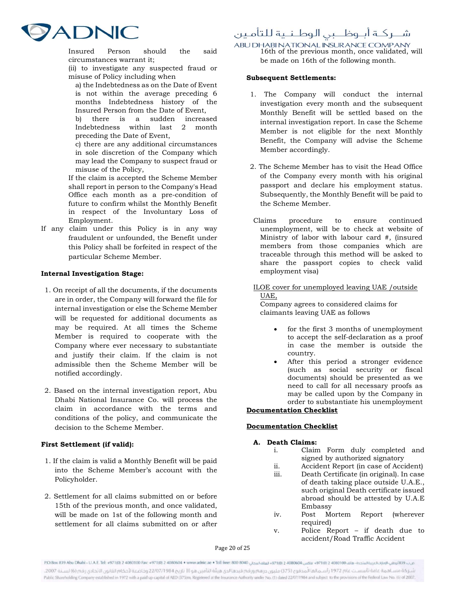

شــركــة أبــوظـــبي الـوطــنــية للتأمـين

Insured Person should the said circumstances warrant it;

- (ii) to investigate any suspected fraud or misuse of Policy including when
	- a) the Indebtedness as on the Date of Event is not within the average preceding 6 months Indebtedness history of the Insured Person from the Date of Event,
- b) there is a sudden increased Indebtedness within last 2 month preceding the Date of Event,
- c) there are any additional circumstances in sole discretion of the Company which may lead the Company to suspect fraud or misuse of the Policy,

If the claim is accepted the Scheme Member shall report in person to the Company's Head Office each month as a pre-condition of future to confirm whilst the Monthly Benefit in respect of the Involuntary Loss of Employment.

If any claim under this Policy is in any way fraudulent or unfounded, the Benefit under this Policy shall be forfeited in respect of the particular Scheme Member.

### Internal Investigation Stage:

- 1. On receipt of all the documents, if the documents are in order, the Company will forward the file for internal investigation or else the Scheme Member will be requested for additional documents as may be required. At all times the Scheme Member is required to cooperate with the Company where ever necessary to substantiate and justify their claim. If the claim is not admissible then the Scheme Member will be notified accordingly.
- 2. Based on the internal investigation report, Abu Dhabi National Insurance Co. will process the claim in accordance with the terms and conditions of the policy, and communicate the decision to the Scheme Member.

### First Settlement (if valid):

- 1. If the claim is valid a Monthly Benefit will be paid into the Scheme Member's account with the Policyholder.
- 2. Settlement for all claims submitted on or before 15th of the previous month, and once validated, will be made on 1st of the following month and settlement for all claims submitted on or after

ABU DHABI NATIONAL INSURANCE COMPANY<br>16th of the previous month, once validated, will be made on 16th of the following month.

### Subsequent Settlements:

- 1. The Company will conduct the internal investigation every month and the subsequent Monthly Benefit will be settled based on the internal investigation report. In case the Scheme Member is not eligible for the next Monthly Benefit, the Company will advise the Scheme Member accordingly.
- 2. The Scheme Member has to visit the Head Office of the Company every month with his original passport and declare his employment status. Subsequently, the Monthly Benefit will be paid to the Scheme Member.
- Claims procedure to ensure continued unemployment, will be to check at website of Ministry of labor with labour card #, (insured members from those companies which are traceable through this method will be asked to share the passport copies to check valid employment visa)
- ILOE cover for unemployed leaving UAE /outside UAE,

Company agrees to considered claims for claimants leaving UAE as follows

- for the first 3 months of unemployment to accept the self-declaration as a proof in case the member is outside the country.
- After this period a stronger evidence (such as social security or fiscal documents) should be presented as we need to call for all necessary proofs as may be called upon by the Company in order to substantiate his unemployment

### Documentation Checklist

### Documentation Checklist

### A. Death Claims:

- i. Claim Form duly completed and signed by authorized signatory
	- ii. Accident Report (in case of Accident)
	- iii. Death Certificate (in original). In case of death taking place outside U.A.E., such original Death certificate issued abroad should be attested by U.A.E Embassy
	- iv. Post Mortem Report (wherever required)
	- v. Police Report if death due to accident/Road Traffic Accident

### Page 20 of 25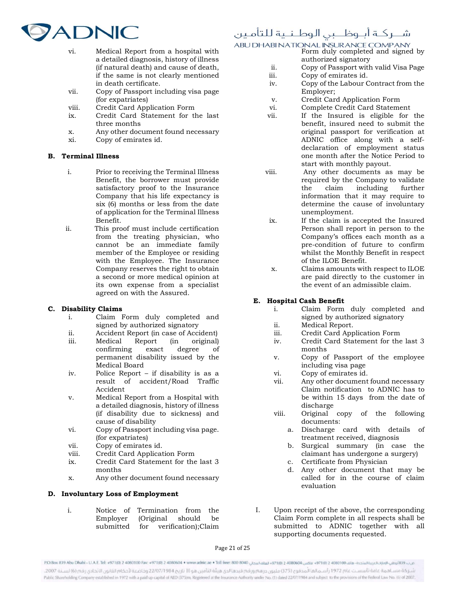

## شــركـة أبــوظــبي الـوطـنـية للتأمـين

- ABU DHABI NATIONAL INSURANCE COMPANY<br>Form duly completed and signed by
- vi. Medical Report from a hospital with a detailed diagnosis, history of illness (if natural death) and cause of death, if the same is not clearly mentioned in death certificate.
- vii. Copy of Passport including visa page (for expatriates)
- viii. Credit Card Application Form
- ix. Credit Card Statement for the last three months
- x. Any other document found necessary
- xi. Copy of emirates id.

### B. Terminal Illness

- i. Prior to receiving the Terminal Illness Benefit, the borrower must provide satisfactory proof to the Insurance Company that his life expectancy is six (6) months or less from the date of application for the Terminal Illness Benefit.
- ii. This proof must include certification from the treating physician, who cannot be an immediate family member of the Employee or residing with the Employee. The Insurance Company reserves the right to obtain a second or more medical opinion at its own expense from a specialist agreed on with the Assured.

### C. Disability Claims

- i. Claim Form duly completed and signed by authorized signatory
- ii. Accident Report (in case of Accident)
- iii. Medical Report (in original) confirming exact degree of permanent disability issued by the Medical Board
- iv. Police Report if disability is as a result of accident/Road Traffic Accident
- v. Medical Report from a Hospital with a detailed diagnosis, history of illness (if disability due to sickness) and cause of disability
- vi. Copy of Passport including visa page. (for expatriates)
- vii. Copy of emirates id.
- viii. Credit Card Application Form
- ix. Credit Card Statement for the last 3 months
- x. Any other document found necessary

### D. Involuntary Loss of Employment

i. Notice of Termination from the Employer (Original should be submitted for verification);Claim

- authorized signatory
- ii. Copy of Passport with valid Visa Page
- Copy of emirates id.
- iv. Copy of the Labour Contract from the Employer;
- v. Credit Card Application Form
- vi. Complete Credit Card Statement
- vii. If the Insured is eligible for the benefit, insured need to submit the original passport for verification at ADNIC office along with a selfdeclaration of employment status one month after the Notice Period to start with monthly payout.
- viii. Any other documents as may be required by the Company to validate the claim including further information that it may require to determine the cause of involuntary unemployment.
- ix. If the claim is accepted the Insured Person shall report in person to the Company's offices each month as a pre-condition of future to confirm whilst the Monthly Benefit in respect of the ILOE Benefit.
- x. Claims amounts with respect to ILOE are paid directly to the customer in the event of an admissible claim.

### E. Hospital Cash Benefit

- i. Claim Form duly completed and signed by authorized signatory
- ii. Medical Report.
- iii. Credit Card Application Form
- iv. Credit Card Statement for the last 3 months
- v. Copy of Passport of the employee including visa page
- vi. Copy of emirates id.
- vii. Any other document found necessary Claim notification to ADNIC has to be within 15 days from the date of discharge
- viii. Original copy of the following documents:
	- a. Discharge card with details of treatment received, diagnosis
	- b. Surgical summary (in case the claimant has undergone a surgery)
	- c. Certificate from Physician
	- d. Any other document that may be called for in the course of claim evaluation
- I. Upon receipt of the above, the corresponding Claim Form complete in all respects shall be submitted to ADNIC together with all supporting documents requested.

Page 21 of 25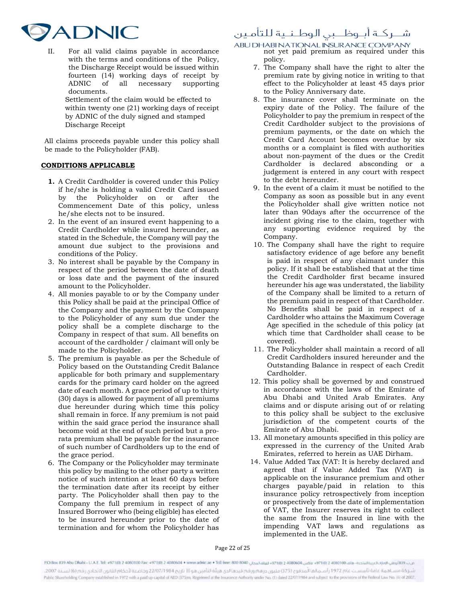

II. For all valid claims payable in accordance with the terms and conditions of the Policy, the Discharge Receipt would be issued within fourteen (14) working days of receipt by ADNIC of all necessary supporting documents. Settlement of the claim would be effected to within twenty one (21) working days of receipt

by ADNIC of the duly signed and stamped Discharge Receipt

All claims proceeds payable under this policy shall be made to the Policyholder (FAB).

### CONDITIONS APPLICABLE

- 1. A Credit Cardholder is covered under this Policy if he/she is holding a valid Credit Card issued by the Policyholder on or after the Commencement Date of this policy, unless he/she elects not to be insured.
- 2. In the event of an insured event happening to a Credit Cardholder while insured hereunder, as stated in the Schedule, the Company will pay the amount due subject to the provisions and conditions of the Policy.
- 3. No interest shall be payable by the Company in respect of the period between the date of death or loss date and the payment of the insured amount to the Policyholder.
- 4. All monies payable to or by the Company under this Policy shall be paid at the principal Office of the Company and the payment by the Company to the Policyholder of any sum due under the policy shall be a complete discharge to the Company in respect of that sum. All benefits on account of the cardholder / claimant will only be made to the Policyholder.
- 5. The premium is payable as per the Schedule of Policy based on the Outstanding Credit Balance applicable for both primary and supplementary cards for the primary card holder on the agreed date of each month. A grace period of up to thirty (30) days is allowed for payment of all premiums due hereunder during which time this policy shall remain in force. If any premium is not paid within the said grace period the insurance shall become void at the end of such period but a prorata premium shall be payable for the insurance of such number of Cardholders up to the end of the grace period.
- 6. The Company or the Policyholder may terminate this policy by mailing to the other party a written notice of such intention at least 60 days before the termination date after its receipt by either party. The Policyholder shall then pay to the Company the full premium in respect of any Insured Borrower who (being eligible) has elected to be insured hereunder prior to the date of termination and for whom the Policyholder has

### شــركـة أبــوظــبي الوطـنـية للتأمـين

ABU DHABI NATIONAL INSURANCE COMPANY<br>not yet paid premium as required under this policy.

- 7. The Company shall have the right to alter the premium rate by giving notice in writing to that effect to the Policyholder at least 45 days prior to the Policy Anniversary date.
- 8. The insurance cover shall terminate on the expiry date of the Policy. The failure of the Policyholder to pay the premium in respect of the Credit Cardholder subject to the provisions of premium payments, or the date on which the Credit Card Account becomes overdue by six months or a complaint is filed with authorities about non-payment of the dues or the Credit Cardholder is declared absconding or a judgement is entered in any court with respect to the debt hereunder.
- 9. In the event of a claim it must be notified to the Company as soon as possible but in any event the Policyholder shall give written notice not later than 90days after the occurrence of the incident giving rise to the claim, together with any supporting evidence required by the Company.
- 10. The Company shall have the right to require satisfactory evidence of age before any benefit is paid in respect of any claimant under this policy. If it shall be established that at the time the Credit Cardholder first became insured hereunder his age was understated, the liability of the Company shall be limited to a return of the premium paid in respect of that Cardholder. No Benefits shall be paid in respect of a Cardholder who attains the Maximum Coverage Age specified in the schedule of this policy (at which time that Cardholder shall cease to be covered).
- 11. The Policyholder shall maintain a record of all Credit Cardholders insured hereunder and the Outstanding Balance in respect of each Credit Cardholder.
- 12. This policy shall be governed by and construed in accordance with the laws of the Emirate of Abu Dhabi and United Arab Emirates. Any claims and or dispute arising out of or relating to this policy shall be subject to the exclusive jurisdiction of the competent courts of the Emirate of Abu Dhabi.
- 13. All monetary amounts specified in this policy are expressed in the currency of the United Arab Emirates, referred to herein as UAE Dirham.
- 14. Value Added Tax (VAT: It is hereby declared and agreed that if Value Added Tax (VAT) is applicable on the insurance premium and other charges payable/paid in relation to this insurance policy retrospectively from inception or prospectively from the date of implementation of VAT, the Insurer reserves its right to collect the same from the Insured in line with the impending VAT laws and regulations as implemented in the UAE.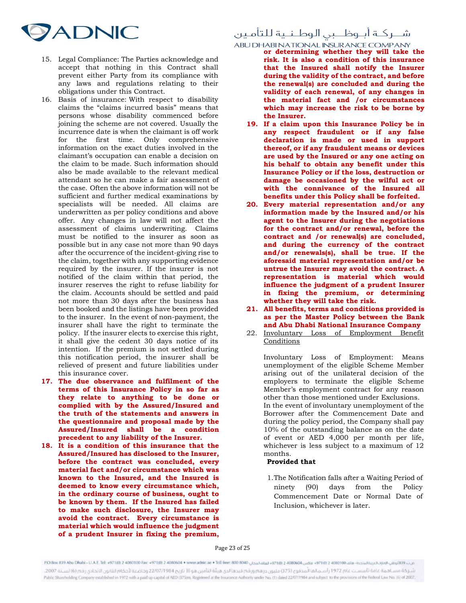

- 15. Legal Compliance: The Parties acknowledge and accept that nothing in this Contract shall prevent either Party from its compliance with any laws and regulations relating to their obligations under this Contract.
- 16. Basis of insurance: With respect to disability claims the "claims incurred basis" means that persons whose disability commenced before joining the scheme are not covered. Usually the incurrence date is when the claimant is off work for the first time. Only comprehensive information on the exact duties involved in the claimant's occupation can enable a decision on the claim to be made. Such information should also be made available to the relevant medical attendant so he can make a fair assessment of the case. Often the above information will not be sufficient and further medical examinations by specialists will be needed. All claims are underwritten as per policy conditions and above offer. Any changes in law will not affect the assessment of claims underwriting. Claims must be notified to the insurer as soon as possible but in any case not more than 90 days after the occurrence of the incident-giving rise to the claim, together with any supporting evidence required by the insurer. If the insurer is not notified of the claim within that period, the insurer reserves the right to refuse liability for the claim. Accounts should be settled and paid not more than 30 days after the business has been booked and the listings have been provided to the insurer. In the event of non-payment, the insurer shall have the right to terminate the policy. If the insurer elects to exercise this right, it shall give the cedent 30 days notice of its intention. If the premium is not settled during this notification period, the insurer shall be relieved of present and future liabilities under this insurance cover.
- 17. The due observance and fulfilment of the terms of this Insurance Policy in so far as they relate to anything to be done or complied with by the Assured/Insured and the truth of the statements and answers in the questionnaire and proposal made by the Assured/Insured shall be a condition precedent to any liability of the Insurer.
- 18. It is a condition of this insurance that the Assured/Insured has disclosed to the Insurer, before the contract was concluded, every material fact and/or circumstance which was known to the Insured, and the Insured is deemed to know every circumstance which, in the ordinary course of business, ought to be known by them. If the Insured has failed to make such disclosure, the Insurer may avoid the contract. Every circumstance is material which would influence the judgment of a prudent Insurer in fixing the premium,

### شــركــة أبــوظـــبى الـوطـنــية للتأمـين

- ABU DHABI NATIONAL INSURANCE COMPANY<br>or determining whether they will take the risk. It is also a condition of this insurance that the Insured shall notify the Insurer during the validity of the contract, and before the renewal(s) are concluded and during the validity of each renewal, of any changes in the material fact and /or circumstances which may increase the risk to be borne by the Insurer.
	- 19. If a claim upon this Insurance Policy be in any respect fraudulent or if any false declaration is made or used in support thereof, or if any fraudulent means or devices are used by the Insured or any one acting on his behalf to obtain any benefit under this Insurance Policy or if the loss, destruction or damage be occasioned by the wilful act or with the connivance of the Insured all benefits under this Policy shall be forfeited.
	- 20. Every material representation and/or any information made by the Insured and/or his agent to the Insurer during the negotiations for the contract and/or renewal, before the contract and /or renewal(s) are concluded, and during the currency of the contract and/or renewals(s), shall be true. If the aforesaid material representation and/or be untrue the Insurer may avoid the contract. A representation is material which would influence the judgment of a prudent Insurer in fixing the premium, or determining whether they will take the risk.
	- 21. All benefits, terms and conditions provided is as per the Master Policy between the Bank and Abu Dhabi National Insurance Company
	- 22. Involuntary Loss of Employment Benefit Conditions

Involuntary Loss of Employment: Means unemployment of the eligible Scheme Member arising out of the unilateral decision of the employers to terminate the eligible Scheme Member's employment contract for any reason other than those mentioned under Exclusions. In the event of involuntary unemployment of the Borrower after the Commencement Date and during the policy period, the Company shall pay 10% of the outstanding balance as on the date of event or AED 4,000 per month per life, whichever is less subject to a maximum of 12 months.

### Provided that

1.The Notification falls after a Waiting Period of ninety (90) days from the Policy Commencement Date or Normal Date of Inclusion, whichever is later.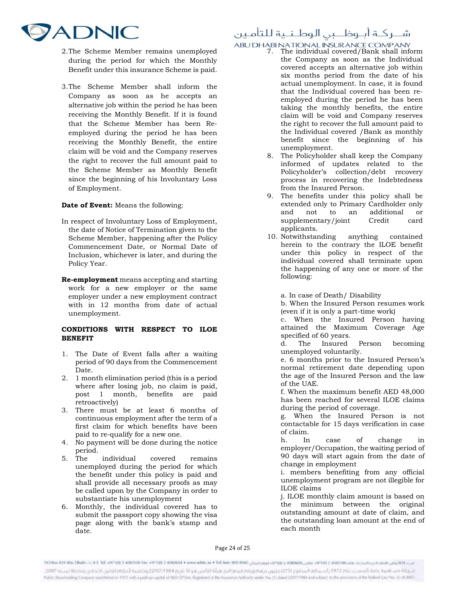

- 2.The Scheme Member remains unemployed during the period for which the Monthly Benefit under this insurance Scheme is paid.
- 3.The Scheme Member shall inform the Company as soon as he accepts an alternative job within the period he has been receiving the Monthly Benefit. If it is found that the Scheme Member has been Reemployed during the period he has been receiving the Monthly Benefit, the entire claim will be void and the Company reserves the right to recover the full amount paid to the Scheme Member as Monthly Benefit since the beginning of his Involuntary Loss of Employment.

Date of Event: Means the following:

- In respect of Involuntary Loss of Employment, the date of Notice of Termination given to the Scheme Member, happening after the Policy Commencement Date, or Normal Date of Inclusion, whichever is later, and during the Policy Year.
- Re-employment means accepting and starting work for a new employer or the same employer under a new employment contract with in 12 months from date of actual unemployment.

### CONDITIONS WITH RESPECT TO ILOE BENEFIT

- 1. The Date of Event falls after a waiting period of 90 days from the Commencement Date.
- 2. 1 month elimination period (this is a period where after losing job, no claim is paid, post 1 month, benefits are paid retroactively)
- 3. There must be at least 6 months of continuous employment after the term of a first claim for which benefits have been paid to re-qualify for a new one.
- 4. No payment will be done during the notice period.
- 5. The individual covered remains unemployed during the period for which the benefit under this policy is paid and shall provide all necessary proofs as may be called upon by the Company in order to substantiate his unemployment
- 6. Monthly, the individual covered has to submit the passport copy showing the visa page along with the bank's stamp and date.

# شــركــة أبــوظـــبي الـوطــنــية للتأمـين

# ABU DHABI NATIONAL INSURANCE COMPANY<br>7. The individual covered/Bank shall inform

- the Company as soon as the Individual covered accepts an alternative job within six months period from the date of his actual unemployment. In case, it is found that the Individual covered has been reemployed during the period he has been taking the monthly benefits, the entire claim will be void and Company reserves the right to recover the full amount paid to the Individual covered /Bank as monthly benefit since the beginning of his unemployment.
- 8. The Policyholder shall keep the Company informed of updates related to the Policyholder's collection/debt recovery process in recovering the Indebtedness from the Insured Person.
- 9. The benefits under this policy shall be extended only to Primary Cardholder only and not to an additional or supplementary/joint Credit card applicants.
- 10. Notwithstanding anything contained herein to the contrary the ILOE benefit under this policy in respect of the individual covered shall terminate upon the happening of any one or more of the following:

a. In case of Death/ Disability

b. When the Insured Person resumes work (even if it is only a part-time work)

c. When the Insured Person having attained the Maximum Coverage Age specified of 60 years.

d. The Insured Person becoming unemployed voluntarily.

e. 6 months prior to the Insured Person's normal retirement date depending upon the age of the Insured Person and the law of the UAE.

f. When the maximum benefit AED 48,000 has been reached for several ILOE claims during the period of coverage.

g. When the Insured Person is not contactable for 15 days verification in case of claim.

h. In case of change in employer/Occupation, the waiting period of 90 days will start again from the date of change in employment

i. members benefiting from any official unemployment program are not illegible for ILOE claims

j. ILOE monthly claim amount is based on the minimum between the original outstanding amount at date of claim, and the outstanding loan amount at the end of each month